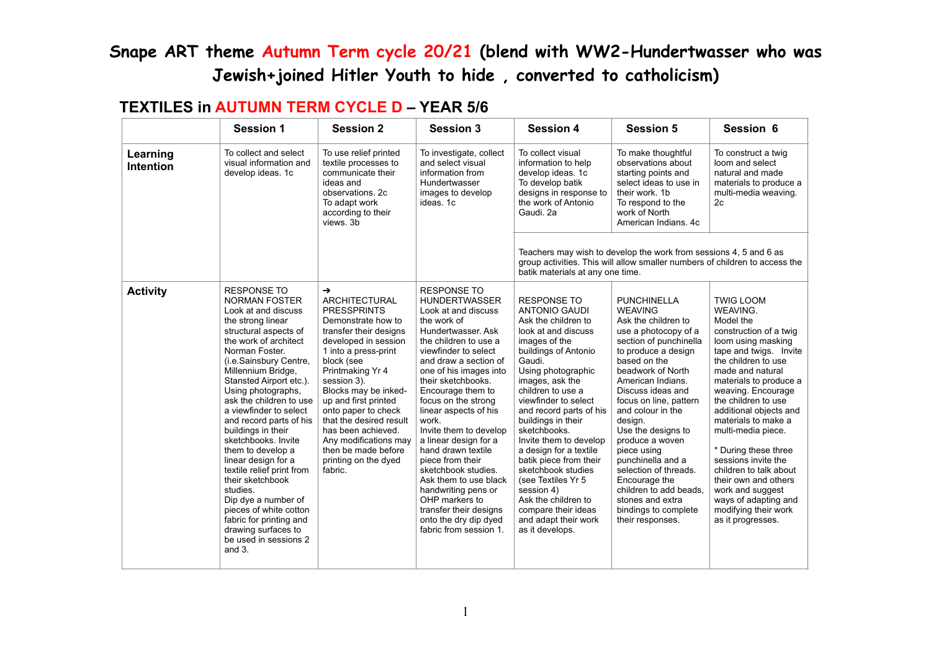#### **TEXTILES in AUTUMN TERM CYCLE D – YEAR 5/6**

|                              | <b>Session 1</b>                                                                                                                                                                                                                                                                                                                                                                                                                                                                                                                                                                                                                          | <b>Session 2</b>                                                                                                                                                                                                                                                                                                                                                                                                        | <b>Session 3</b>                                                                                                                                                                                                                                                                                                                                                                                                                                                                                                                                                                  | <b>Session 4</b>                                                                                                                                                                                                                                                                                                                                                                                                                                                                                                                    | <b>Session 5</b>                                                                                                                                                                                                                                                                                                                                                                                                                                                                               | Session 6                                                                                                                                                                                                                                                                                                                                                                                                                                                                                              |
|------------------------------|-------------------------------------------------------------------------------------------------------------------------------------------------------------------------------------------------------------------------------------------------------------------------------------------------------------------------------------------------------------------------------------------------------------------------------------------------------------------------------------------------------------------------------------------------------------------------------------------------------------------------------------------|-------------------------------------------------------------------------------------------------------------------------------------------------------------------------------------------------------------------------------------------------------------------------------------------------------------------------------------------------------------------------------------------------------------------------|-----------------------------------------------------------------------------------------------------------------------------------------------------------------------------------------------------------------------------------------------------------------------------------------------------------------------------------------------------------------------------------------------------------------------------------------------------------------------------------------------------------------------------------------------------------------------------------|-------------------------------------------------------------------------------------------------------------------------------------------------------------------------------------------------------------------------------------------------------------------------------------------------------------------------------------------------------------------------------------------------------------------------------------------------------------------------------------------------------------------------------------|------------------------------------------------------------------------------------------------------------------------------------------------------------------------------------------------------------------------------------------------------------------------------------------------------------------------------------------------------------------------------------------------------------------------------------------------------------------------------------------------|--------------------------------------------------------------------------------------------------------------------------------------------------------------------------------------------------------------------------------------------------------------------------------------------------------------------------------------------------------------------------------------------------------------------------------------------------------------------------------------------------------|
| Learning<br><b>Intention</b> | To collect and select<br>visual information and<br>develop ideas. 1c                                                                                                                                                                                                                                                                                                                                                                                                                                                                                                                                                                      | To use relief printed<br>textile processes to<br>communicate their<br>ideas and<br>observations, 2c<br>To adapt work<br>according to their<br>views. 3b                                                                                                                                                                                                                                                                 | To investigate, collect<br>and select visual<br>information from<br>Hundertwasser<br>images to develop<br>ideas. 1c                                                                                                                                                                                                                                                                                                                                                                                                                                                               | To collect visual<br>information to help<br>develop ideas. 1c<br>To develop batik<br>designs in response to<br>the work of Antonio<br>Gaudi. 2a                                                                                                                                                                                                                                                                                                                                                                                     | To make thoughtful<br>observations about<br>starting points and<br>select ideas to use in<br>their work, 1b<br>To respond to the<br>work of North<br>American Indians, 4c                                                                                                                                                                                                                                                                                                                      | To construct a twig<br>loom and select<br>natural and made<br>materials to produce a<br>multi-media weaving.<br>2c                                                                                                                                                                                                                                                                                                                                                                                     |
|                              |                                                                                                                                                                                                                                                                                                                                                                                                                                                                                                                                                                                                                                           |                                                                                                                                                                                                                                                                                                                                                                                                                         |                                                                                                                                                                                                                                                                                                                                                                                                                                                                                                                                                                                   | batik materials at any one time.                                                                                                                                                                                                                                                                                                                                                                                                                                                                                                    | Teachers may wish to develop the work from sessions 4, 5 and 6 as<br>group activities. This will allow smaller numbers of children to access the                                                                                                                                                                                                                                                                                                                                               |                                                                                                                                                                                                                                                                                                                                                                                                                                                                                                        |
| <b>Activity</b>              | <b>RESPONSE TO</b><br><b>NORMAN FOSTER</b><br>Look at and discuss<br>the strong linear<br>structural aspects of<br>the work of architect<br>Norman Foster.<br>(i.e.Sainsbury Centre,<br>Millennium Bridge,<br>Stansted Airport etc.).<br>Using photographs,<br>ask the children to use<br>a viewfinder to select<br>and record parts of his<br>buildings in their<br>sketchbooks, Invite<br>them to develop a<br>linear design for a<br>textile relief print from<br>their sketchbook<br>studies.<br>Dip dye a number of<br>pieces of white cotton<br>fabric for printing and<br>drawing surfaces to<br>be used in sessions 2<br>and $3.$ | $\rightarrow$<br><b>ARCHITECTURAL</b><br><b>PRESSPRINTS</b><br>Demonstrate how to<br>transfer their designs<br>developed in session<br>1 into a press-print<br>block (see<br>Printmaking Yr 4<br>session 3).<br>Blocks may be inked-<br>up and first printed<br>onto paper to check<br>that the desired result<br>has been achieved.<br>Any modifications may<br>then be made before<br>printing on the dyed<br>fabric. | <b>RESPONSE TO</b><br><b>HUNDERTWASSER</b><br>Look at and discuss<br>the work of<br>Hundertwasser. Ask<br>the children to use a<br>viewfinder to select<br>and draw a section of<br>one of his images into<br>their sketchbooks.<br>Encourage them to<br>focus on the strong<br>linear aspects of his<br>work.<br>Invite them to develop<br>a linear design for a<br>hand drawn textile<br>piece from their<br>sketchbook studies.<br>Ask them to use black<br>handwriting pens or<br>OHP markers to<br>transfer their designs<br>onto the dry dip dyed<br>fabric from session 1. | <b>RESPONSE TO</b><br><b>ANTONIO GAUDI</b><br>Ask the children to<br>look at and discuss<br>images of the<br>buildings of Antonio<br>Gaudi.<br>Using photographic<br>images, ask the<br>children to use a<br>viewfinder to select<br>and record parts of his<br>buildings in their<br>sketchbooks.<br>Invite them to develop<br>a design for a textile<br>batik piece from their<br>sketchbook studies<br>(see Textiles Yr 5<br>session 4)<br>Ask the children to<br>compare their ideas<br>and adapt their work<br>as it develops. | <b>PUNCHINELLA</b><br><b>WEAVING</b><br>Ask the children to<br>use a photocopy of a<br>section of punchinella<br>to produce a design<br>based on the<br>beadwork of North<br>American Indians.<br>Discuss ideas and<br>focus on line, pattern<br>and colour in the<br>design.<br>Use the designs to<br>produce a woven<br>piece using<br>punchinella and a<br>selection of threads.<br>Encourage the<br>children to add beads.<br>stones and extra<br>bindings to complete<br>their responses. | <b>TWIG LOOM</b><br>WEAVING.<br>Model the<br>construction of a twig<br>loom using masking<br>tape and twigs. Invite<br>the children to use<br>made and natural<br>materials to produce a<br>weaving. Encourage<br>the children to use<br>additional objects and<br>materials to make a<br>multi-media piece.<br>* During these three<br>sessions invite the<br>children to talk about<br>their own and others<br>work and suggest<br>ways of adapting and<br>modifying their work<br>as it progresses. |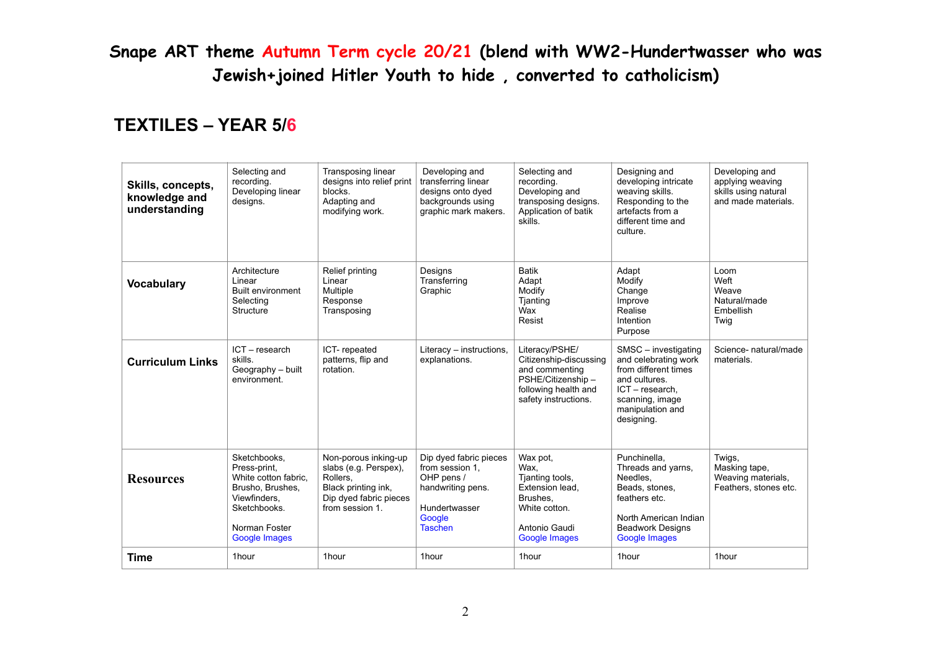#### **TEXTILES – YEAR 5/6**

| Skills, concepts,<br>knowledge and<br>understanding | Selecting and<br>recording.<br>Developing linear<br>designs.                                                                                      | Transposing linear<br>designs into relief print<br>blocks.<br>Adapting and<br>modifying work.                                 | Developing and<br>transferring linear<br>designs onto dyed<br>backgrounds using<br>graphic mark makers.                   | Selecting and<br>recording.<br>Developing and<br>transposing designs.<br>Application of batik<br>skills.                         | Designing and<br>developing intricate<br>weaving skills.<br>Responding to the<br>artefacts from a<br>different time and<br>culture.                              | Developing and<br>applying weaving<br>skills using natural<br>and made materials. |
|-----------------------------------------------------|---------------------------------------------------------------------------------------------------------------------------------------------------|-------------------------------------------------------------------------------------------------------------------------------|---------------------------------------------------------------------------------------------------------------------------|----------------------------------------------------------------------------------------------------------------------------------|------------------------------------------------------------------------------------------------------------------------------------------------------------------|-----------------------------------------------------------------------------------|
| <b>Vocabulary</b>                                   | Architecture<br>Linear<br><b>Built environment</b><br>Selecting<br>Structure                                                                      | Relief printing<br>Linear<br>Multiple<br>Response<br>Transposing                                                              | Designs<br>Transferring<br>Graphic                                                                                        | <b>Batik</b><br>Adapt<br>Modify<br>Tjanting<br>Wax<br>Resist                                                                     | Adapt<br>Modify<br>Change<br>Improve<br>Realise<br>Intention<br>Purpose                                                                                          | Loom<br>Weft<br>Weave<br>Natural/made<br>Embellish<br>Twig                        |
| <b>Curriculum Links</b>                             | $ICT - research$<br>skills.<br>Geography - built<br>environment.                                                                                  | ICT-repeated<br>patterns, flip and<br>rotation.                                                                               | Literacy - instructions,<br>explanations.                                                                                 | Literacy/PSHE/<br>Citizenship-discussing<br>and commenting<br>PSHE/Citizenship -<br>following health and<br>safety instructions. | SMSC - investigating<br>and celebrating work<br>from different times<br>and cultures.<br>$ICT - research$ .<br>scanning, image<br>manipulation and<br>designing. | Science- natural/made<br>materials.                                               |
| <b>Resources</b>                                    | Sketchbooks.<br>Press-print,<br>White cotton fabric,<br>Brusho, Brushes,<br>Viewfinders.<br>Sketchbooks.<br>Norman Foster<br><b>Google Images</b> | Non-porous inking-up<br>slabs (e.g. Perspex),<br>Rollers,<br>Black printing ink,<br>Dip dyed fabric pieces<br>from session 1. | Dip dyed fabric pieces<br>from session 1.<br>OHP pens /<br>handwriting pens.<br>Hundertwasser<br>Google<br><b>Taschen</b> | Wax pot.<br>Wax.<br>Tjanting tools,<br>Extension lead,<br>Brushes.<br>White cotton.<br>Antonio Gaudi<br><b>Google Images</b>     | Punchinella.<br>Threads and yarns.<br>Needles.<br>Beads, stones,<br>feathers etc.<br>North American Indian<br><b>Beadwork Designs</b><br><b>Google Images</b>    | Twigs,<br>Masking tape,<br>Weaving materials,<br>Feathers, stones etc.            |
| <b>Time</b>                                         | 1hour                                                                                                                                             | 1hour                                                                                                                         | 1hour                                                                                                                     | 1hour                                                                                                                            | 1hour                                                                                                                                                            | 1hour                                                                             |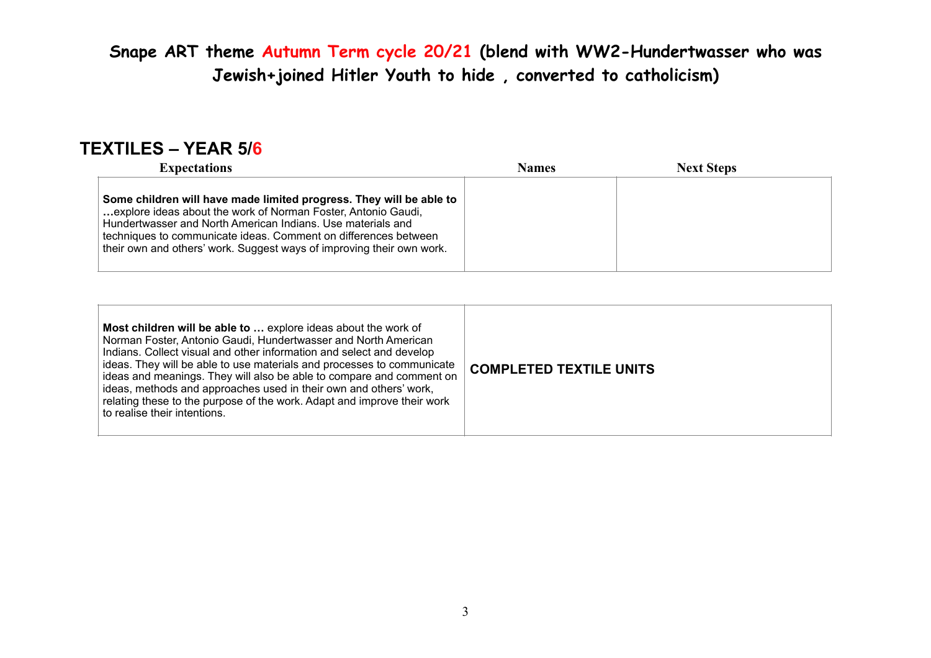### **TEXTILES – YEAR 5/6**

| <b>Expectations</b>                                                                                                                                                                                                                                                                                                                             | <b>Names</b> | <b>Next Steps</b> |  |
|-------------------------------------------------------------------------------------------------------------------------------------------------------------------------------------------------------------------------------------------------------------------------------------------------------------------------------------------------|--------------|-------------------|--|
| Some children will have made limited progress. They will be able to<br>explore ideas about the work of Norman Foster, Antonio Gaudi,<br>Hundertwasser and North American Indians. Use materials and<br>techniques to communicate ideas. Comment on differences between<br>their own and others' work. Suggest ways of improving their own work. |              |                   |  |